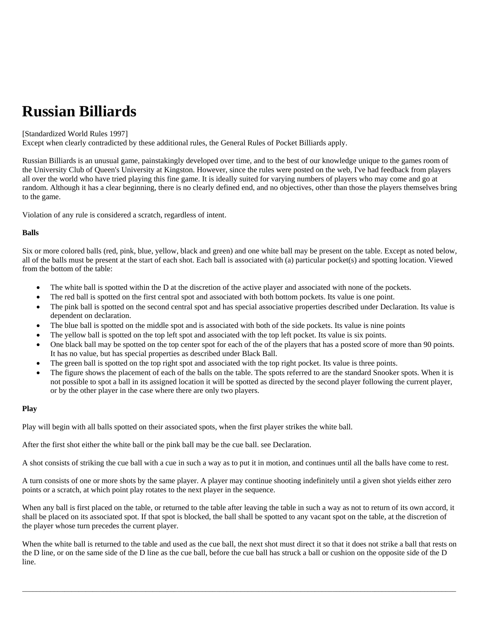# **Russian Billiards**

## [Standardized World Rules 1997]

Except when clearly contradicted by these additional rules, the General Rules of Pocket Billiards apply.

Russian Billiards is an unusual game, painstakingly developed over time, and to the best of our knowledge unique to the games room of the University Club of Queen's University at Kingston. However, since the rules were posted on the web, I've had feedback from players all over the world who have tried playing this fine game. It is ideally suited for varying numbers of players who may come and go at random. Although it has a clear beginning, there is no clearly defined end, and no objectives, other than those the players themselves bring to the game.

Violation of any rule is considered a scratch, regardless of intent.

# **Balls**

Six or more colored balls (red, pink, blue, yellow, black and green) and one white ball may be present on the table. Except as noted below, all of the balls must be present at the start of each shot. Each ball is associated with (a) particular pocket(s) and spotting location. Viewed from the bottom of the table:

- The white ball is spotted within the D at the discretion of the active player and associated with none of the pockets.
- The red ball is spotted on the first central spot and associated with both bottom pockets. Its value is one point.
- The pink ball is spotted on the second central spot and has special associative properties described under Declaration. Its value is dependent on declaration.
- The blue ball is spotted on the middle spot and is associated with both of the side pockets. Its value is nine points
- The yellow ball is spotted on the top left spot and associated with the top left pocket. Its value is six points.
- One black ball may be spotted on the top center spot for each of the of the players that has a posted score of more than 90 points. It has no value, but has special properties as described under Black Ball.
- The green ball is spotted on the top right spot and associated with the top right pocket. Its value is three points.
- The figure shows the placement of each of the balls on the table. The spots referred to are the standard Snooker spots. When it is not possible to spot a ball in its assigned location it will be spotted as directed by the second player following the current player, or by the other player in the case where there are only two players.

## **Play**

Play will begin with all balls spotted on their associated spots, when the first player strikes the white ball.

After the first shot either the white ball or the pink ball may be the cue ball. see Declaration.

A shot consists of striking the cue ball with a cue in such a way as to put it in motion, and continues until all the balls have come to rest.

A turn consists of one or more shots by the same player. A player may continue shooting indefinitely until a given shot yields either zero points or a scratch, at which point play rotates to the next player in the sequence.

When any ball is first placed on the table, or returned to the table after leaving the table in such a way as not to return of its own accord, it shall be placed on its associated spot. If that spot is blocked, the ball shall be spotted to any vacant spot on the table, at the discretion of the player whose turn precedes the current player.

When the white ball is returned to the table and used as the cue ball, the next shot must direct it so that it does not strike a ball that rests on the D line, or on the same side of the D line as the cue ball, before the cue ball has struck a ball or cushion on the opposite side of the D line.

 $\bot$  , and the set of the set of the set of the set of the set of the set of the set of the set of the set of the set of the set of the set of the set of the set of the set of the set of the set of the set of the set of t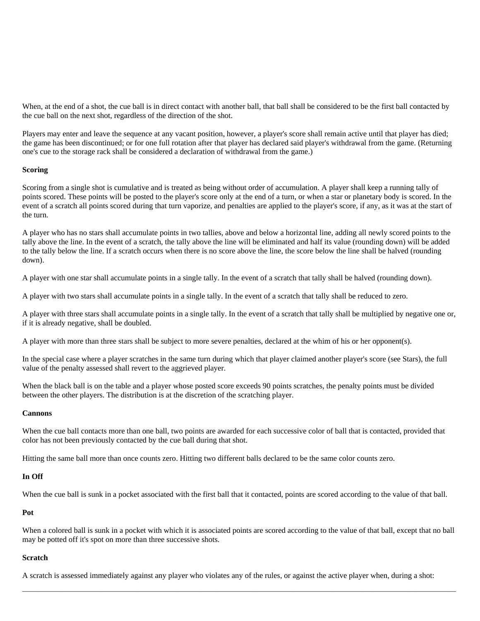When, at the end of a shot, the cue ball is in direct contact with another ball, that ball shall be considered to be the first ball contacted by the cue ball on the next shot, regardless of the direction of the shot.

Players may enter and leave the sequence at any vacant position, however, a player's score shall remain active until that player has died; the game has been discontinued; or for one full rotation after that player has declared said player's withdrawal from the game. (Returning one's cue to the storage rack shall be considered a declaration of withdrawal from the game.)

#### **Scoring**

Scoring from a single shot is cumulative and is treated as being without order of accumulation. A player shall keep a running tally of points scored. These points will be posted to the player's score only at the end of a turn, or when a star or planetary body is scored. In the event of a scratch all points scored during that turn vaporize, and penalties are applied to the player's score, if any, as it was at the start of the turn.

A player who has no stars shall accumulate points in two tallies, above and below a horizontal line, adding all newly scored points to the tally above the line. In the event of a scratch, the tally above the line will be eliminated and half its value (rounding down) will be added to the tally below the line. If a scratch occurs when there is no score above the line, the score below the line shall be halved (rounding down).

A player with one star shall accumulate points in a single tally. In the event of a scratch that tally shall be halved (rounding down).

A player with two stars shall accumulate points in a single tally. In the event of a scratch that tally shall be reduced to zero.

A player with three stars shall accumulate points in a single tally. In the event of a scratch that tally shall be multiplied by negative one or, if it is already negative, shall be doubled.

A player with more than three stars shall be subject to more severe penalties, declared at the whim of his or her opponent(s).

In the special case where a player scratches in the same turn during which that player claimed another player's score (see Stars), the full value of the penalty assessed shall revert to the aggrieved player.

When the black ball is on the table and a player whose posted score exceeds 90 points scratches, the penalty points must be divided between the other players. The distribution is at the discretion of the scratching player.

#### **Cannons**

When the cue ball contacts more than one ball, two points are awarded for each successive color of ball that is contacted, provided that color has not been previously contacted by the cue ball during that shot.

Hitting the same ball more than once counts zero. Hitting two different balls declared to be the same color counts zero.

#### **In Off**

When the cue ball is sunk in a pocket associated with the first ball that it contacted, points are scored according to the value of that ball.

#### **Pot**

When a colored ball is sunk in a pocket with which it is associated points are scored according to the value of that ball, except that no ball may be potted off it's spot on more than three successive shots.

 $\bot$  , and the set of the set of the set of the set of the set of the set of the set of the set of the set of the set of the set of the set of the set of the set of the set of the set of the set of the set of the set of t

#### **Scratch**

A scratch is assessed immediately against any player who violates any of the rules, or against the active player when, during a shot: